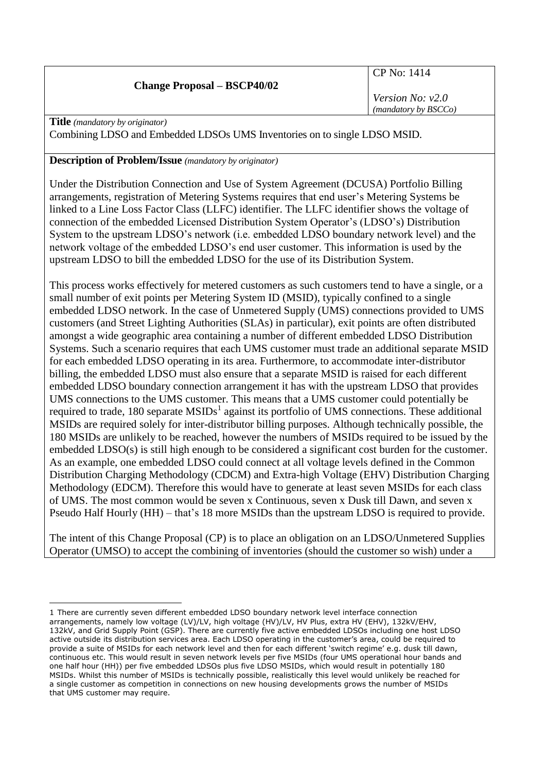## **Change Proposal – BSCP40/02**

CP No: 1414

*Version No: v2.0 (mandatory by BSCCo)*

**Title** *(mandatory by originator)*

Combining LDSO and Embedded LDSOs UMS Inventories on to single LDSO MSID.

### **Description of Problem/Issue** *(mandatory by originator)*

Under the Distribution Connection and Use of System Agreement (DCUSA) Portfolio Billing arrangements, registration of Metering Systems requires that end user's Metering Systems be linked to a Line Loss Factor Class (LLFC) identifier. The LLFC identifier shows the voltage of connection of the embedded Licensed Distribution System Operator's (LDSO's) Distribution System to the upstream LDSO's network (i.e. embedded LDSO boundary network level) and the network voltage of the embedded LDSO's end user customer. This information is used by the upstream LDSO to bill the embedded LDSO for the use of its Distribution System.

This process works effectively for metered customers as such customers tend to have a single, or a small number of exit points per Metering System ID (MSID), typically confined to a single embedded LDSO network. In the case of Unmetered Supply (UMS) connections provided to UMS customers (and Street Lighting Authorities (SLAs) in particular), exit points are often distributed amongst a wide geographic area containing a number of different embedded LDSO Distribution Systems. Such a scenario requires that each UMS customer must trade an additional separate MSID for each embedded LDSO operating in its area. Furthermore, to accommodate inter-distributor billing, the embedded LDSO must also ensure that a separate MSID is raised for each different embedded LDSO boundary connection arrangement it has with the upstream LDSO that provides UMS connections to the UMS customer. This means that a UMS customer could potentially be required to trade, 180 separate  $MSIDs<sup>1</sup>$  against its portfolio of UMS connections. These additional MSIDs are required solely for inter-distributor billing purposes. Although technically possible, the 180 MSIDs are unlikely to be reached, however the numbers of MSIDs required to be issued by the embedded LDSO(s) is still high enough to be considered a significant cost burden for the customer. As an example, one embedded LDSO could connect at all voltage levels defined in the Common Distribution Charging Methodology (CDCM) and Extra-high Voltage (EHV) Distribution Charging Methodology (EDCM). Therefore this would have to generate at least seven MSIDs for each class of UMS. The most common would be seven x Continuous, seven x Dusk till Dawn, and seven x Pseudo Half Hourly (HH) – that's 18 more MSIDs than the upstream LDSO is required to provide.

The intent of this Change Proposal (CP) is to place an obligation on an LDSO/Unmetered Supplies Operator (UMSO) to accept the combining of inventories (should the customer so wish) under a

<sup>&</sup>lt;u>.</u> 1 There are currently seven different embedded LDSO boundary network level interface connection arrangements, namely low voltage (LV)/LV, high voltage (HV)/LV, HV Plus, extra HV (EHV), 132kV/EHV, 132kV, and Grid Supply Point (GSP). There are currently five active embedded LDSOs including one host LDSO active outside its distribution services area. Each LDSO operating in the customer's area, could be required to provide a suite of MSIDs for each network level and then for each different 'switch regime' e.g. dusk till dawn, continuous etc. This would result in seven network levels per five MSIDs (four UMS operational hour bands and one half hour (HH)) per five embedded LDSOs plus five LDSO MSIDs, which would result in potentially 180 MSIDs. Whilst this number of MSIDs is technically possible, realistically this level would unlikely be reached for a single customer as competition in connections on new housing developments grows the number of MSIDs that UMS customer may require.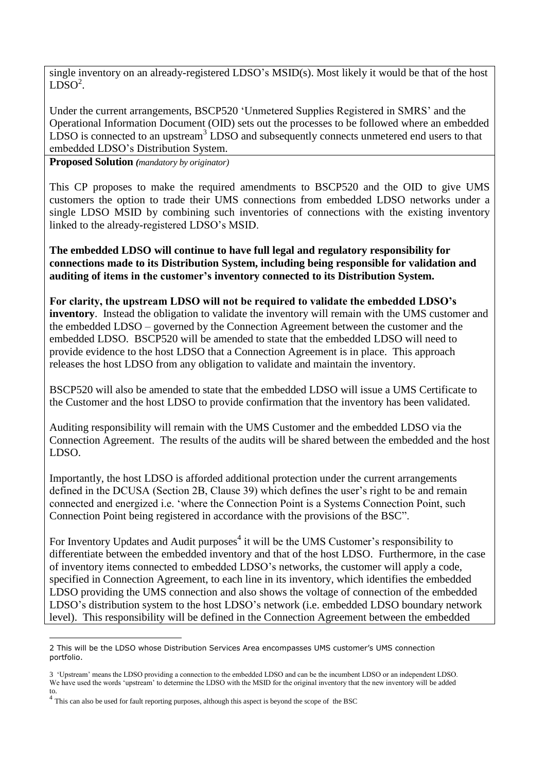single inventory on an already-registered LDSO's MSID(s). Most likely it would be that of the host  $LDSO<sup>2</sup>$ .

Under the current arrangements, BSCP520 'Unmetered Supplies Registered in SMRS' and the Operational Information Document (OID) sets out the processes to be followed where an embedded  $LDSO$  is connected to an upstream<sup>3</sup>  $LDSO$  and subsequently connects unmetered end users to that embedded LDSO's Distribution System.

**Proposed Solution** *(mandatory by originator)*

This CP proposes to make the required amendments to BSCP520 and the OID to give UMS customers the option to trade their UMS connections from embedded LDSO networks under a single LDSO MSID by combining such inventories of connections with the existing inventory linked to the already-registered LDSO's MSID.

**The embedded LDSO will continue to have full legal and regulatory responsibility for connections made to its Distribution System, including being responsible for validation and auditing of items in the customer's inventory connected to its Distribution System.**

**For clarity, the upstream LDSO will not be required to validate the embedded LDSO's inventory**. Instead the obligation to validate the inventory will remain with the UMS customer and the embedded LDSO – governed by the Connection Agreement between the customer and the embedded LDSO. BSCP520 will be amended to state that the embedded LDSO will need to provide evidence to the host LDSO that a Connection Agreement is in place. This approach releases the host LDSO from any obligation to validate and maintain the inventory.

BSCP520 will also be amended to state that the embedded LDSO will issue a UMS Certificate to the Customer and the host LDSO to provide confirmation that the inventory has been validated.

Auditing responsibility will remain with the UMS Customer and the embedded LDSO via the Connection Agreement. The results of the audits will be shared between the embedded and the host LDSO.

Importantly, the host LDSO is afforded additional protection under the current arrangements defined in the DCUSA (Section 2B, Clause 39) which defines the user's right to be and remain connected and energized i.e. 'where the Connection Point is a Systems Connection Point, such Connection Point being registered in accordance with the provisions of the BSC".

For Inventory Updates and Audit purposes<sup>4</sup> it will be the UMS Customer's responsibility to differentiate between the embedded inventory and that of the host LDSO. Furthermore, in the case of inventory items connected to embedded LDSO's networks, the customer will apply a code, specified in Connection Agreement, to each line in its inventory, which identifies the embedded LDSO providing the UMS connection and also shows the voltage of connection of the embedded LDSO's distribution system to the host LDSO's network (i.e. embedded LDSO boundary network level). This responsibility will be defined in the Connection Agreement between the embedded

<sup>1</sup> 2 This will be the LDSO whose Distribution Services Area encompasses UMS customer's UMS connection portfolio.

<sup>3 &#</sup>x27;Upstream' means the LDSO providing a connection to the embedded LDSO and can be the incumbent LDSO or an independent LDSO. We have used the words 'upstream' to determine the LDSO with the MSID for the original inventory that the new inventory will be added to.

<sup>&</sup>lt;sup>4</sup> This can also be used for fault reporting purposes, although this aspect is beyond the scope of the BSC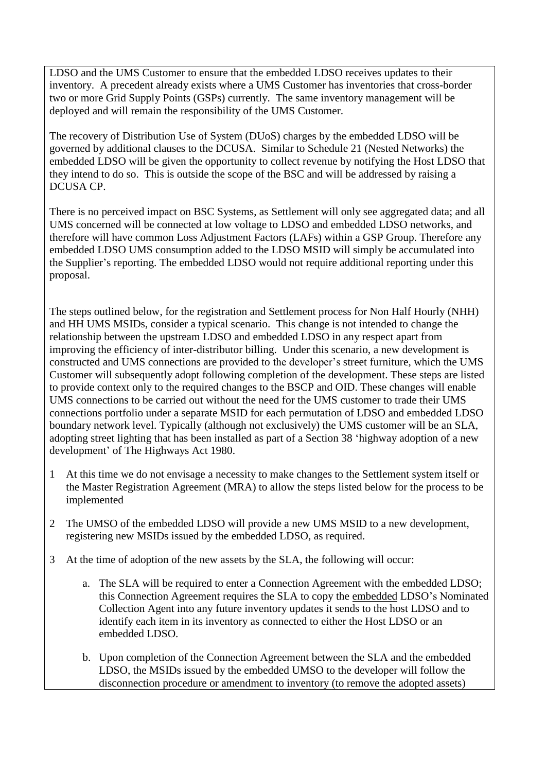LDSO and the UMS Customer to ensure that the embedded LDSO receives updates to their inventory. A precedent already exists where a UMS Customer has inventories that cross-border two or more Grid Supply Points (GSPs) currently. The same inventory management will be deployed and will remain the responsibility of the UMS Customer.

The recovery of Distribution Use of System (DUoS) charges by the embedded LDSO will be governed by additional clauses to the DCUSA. Similar to Schedule 21 (Nested Networks) the embedded LDSO will be given the opportunity to collect revenue by notifying the Host LDSO that they intend to do so. This is outside the scope of the BSC and will be addressed by raising a DCUSA CP.

There is no perceived impact on BSC Systems, as Settlement will only see aggregated data; and all UMS concerned will be connected at low voltage to LDSO and embedded LDSO networks, and therefore will have common Loss Adjustment Factors (LAFs) within a GSP Group. Therefore any embedded LDSO UMS consumption added to the LDSO MSID will simply be accumulated into the Supplier's reporting. The embedded LDSO would not require additional reporting under this proposal.

The steps outlined below, for the registration and Settlement process for Non Half Hourly (NHH) and HH UMS MSIDs, consider a typical scenario. This change is not intended to change the relationship between the upstream LDSO and embedded LDSO in any respect apart from improving the efficiency of inter-distributor billing. Under this scenario, a new development is constructed and UMS connections are provided to the developer's street furniture, which the UMS Customer will subsequently adopt following completion of the development. These steps are listed to provide context only to the required changes to the BSCP and OID. These changes will enable UMS connections to be carried out without the need for the UMS customer to trade their UMS connections portfolio under a separate MSID for each permutation of LDSO and embedded LDSO boundary network level. Typically (although not exclusively) the UMS customer will be an SLA, adopting street lighting that has been installed as part of a Section 38 'highway adoption of a new development' of The Highways Act 1980.

- 1 At this time we do not envisage a necessity to make changes to the Settlement system itself or the Master Registration Agreement (MRA) to allow the steps listed below for the process to be implemented
- 2 The UMSO of the embedded LDSO will provide a new UMS MSID to a new development, registering new MSIDs issued by the embedded LDSO, as required.
- 3 At the time of adoption of the new assets by the SLA, the following will occur:
	- a. The SLA will be required to enter a Connection Agreement with the embedded LDSO; this Connection Agreement requires the SLA to copy the embedded LDSO's Nominated Collection Agent into any future inventory updates it sends to the host LDSO and to identify each item in its inventory as connected to either the Host LDSO or an embedded LDSO.
	- b. Upon completion of the Connection Agreement between the SLA and the embedded LDSO, the MSIDs issued by the embedded UMSO to the developer will follow the disconnection procedure or amendment to inventory (to remove the adopted assets)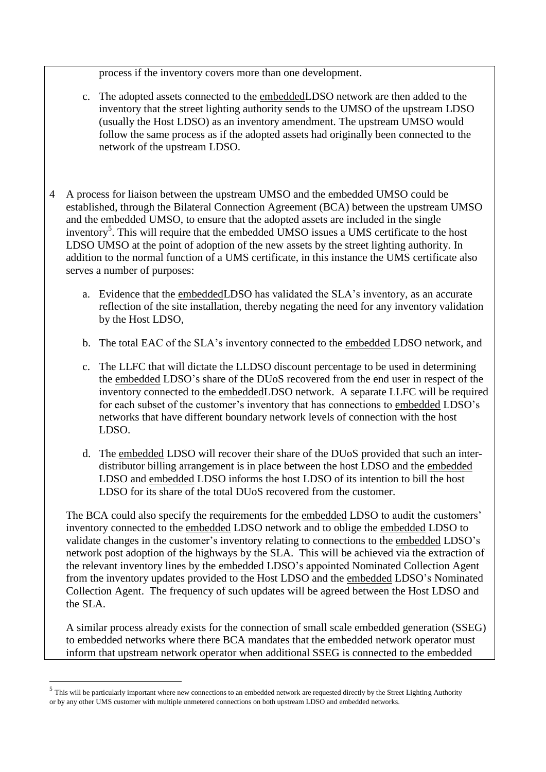process if the inventory covers more than one development.

- c. The adopted assets connected to the embeddedLDSO network are then added to the inventory that the street lighting authority sends to the UMSO of the upstream LDSO (usually the Host LDSO) as an inventory amendment. The upstream UMSO would follow the same process as if the adopted assets had originally been connected to the network of the upstream LDSO.
- 4 A process for liaison between the upstream UMSO and the embedded UMSO could be established, through the Bilateral Connection Agreement (BCA) between the upstream UMSO and the embedded UMSO, to ensure that the adopted assets are included in the single inventory<sup>5</sup>. This will require that the embedded UMSO issues a UMS certificate to the host LDSO UMSO at the point of adoption of the new assets by the street lighting authority. In addition to the normal function of a UMS certificate, in this instance the UMS certificate also serves a number of purposes:
	- a. Evidence that the embeddedLDSO has validated the SLA's inventory, as an accurate reflection of the site installation, thereby negating the need for any inventory validation by the Host LDSO,
	- b. The total EAC of the SLA's inventory connected to the embedded LDSO network, and
	- c. The LLFC that will dictate the LLDSO discount percentage to be used in determining the embedded LDSO's share of the DUoS recovered from the end user in respect of the inventory connected to the embeddedLDSO network. A separate LLFC will be required for each subset of the customer's inventory that has connections to embedded LDSO's networks that have different boundary network levels of connection with the host LDSO.
	- d. The embedded LDSO will recover their share of the DUoS provided that such an interdistributor billing arrangement is in place between the host LDSO and the embedded LDSO and embedded LDSO informs the host LDSO of its intention to bill the host LDSO for its share of the total DUoS recovered from the customer.

The BCA could also specify the requirements for the embedded LDSO to audit the customers' inventory connected to the embedded LDSO network and to oblige the embedded LDSO to validate changes in the customer's inventory relating to connections to the embedded LDSO's network post adoption of the highways by the SLA. This will be achieved via the extraction of the relevant inventory lines by the embedded LDSO's appointed Nominated Collection Agent from the inventory updates provided to the Host LDSO and the embedded LDSO's Nominated Collection Agent. The frequency of such updates will be agreed between the Host LDSO and the SLA.

A similar process already exists for the connection of small scale embedded generation (SSEG) to embedded networks where there BCA mandates that the embedded network operator must inform that upstream network operator when additional SSEG is connected to the embedded

<u>.</u>

 $<sup>5</sup>$  This will be particularly important where new connections to an embedded network are requested directly by the Street Lighting Authority</sup> or by any other UMS customer with multiple unmetered connections on both upstream LDSO and embedded networks.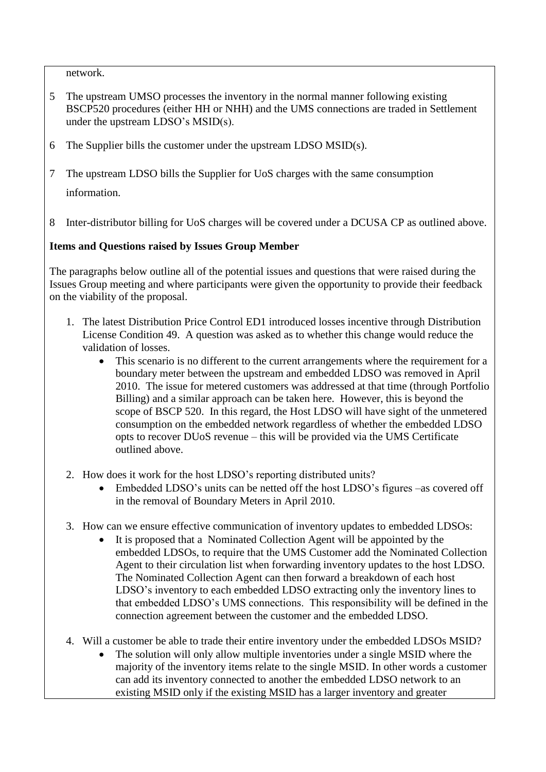network.

- 5 The upstream UMSO processes the inventory in the normal manner following existing BSCP520 procedures (either HH or NHH) and the UMS connections are traded in Settlement under the upstream LDSO's MSID(s).
- 6 The Supplier bills the customer under the upstream LDSO MSID(s).
- 7 The upstream LDSO bills the Supplier for UoS charges with the same consumption information.
- 8 Inter-distributor billing for UoS charges will be covered under a DCUSA CP as outlined above.

# **Items and Questions raised by Issues Group Member**

The paragraphs below outline all of the potential issues and questions that were raised during the Issues Group meeting and where participants were given the opportunity to provide their feedback on the viability of the proposal.

- 1. The latest Distribution Price Control ED1 introduced losses incentive through Distribution License Condition 49. A question was asked as to whether this change would reduce the validation of losses.
	- This scenario is no different to the current arrangements where the requirement for a boundary meter between the upstream and embedded LDSO was removed in April 2010. The issue for metered customers was addressed at that time (through Portfolio Billing) and a similar approach can be taken here. However, this is beyond the scope of BSCP 520. In this regard, the Host LDSO will have sight of the unmetered consumption on the embedded network regardless of whether the embedded LDSO opts to recover DUoS revenue – this will be provided via the UMS Certificate outlined above.
- 2. How does it work for the host LDSO's reporting distributed units?
	- Embedded LDSO's units can be netted off the host LDSO's figures –as covered off in the removal of Boundary Meters in April 2010.
- 3. How can we ensure effective communication of inventory updates to embedded LDSOs:
	- It is proposed that a Nominated Collection Agent will be appointed by the embedded LDSOs, to require that the UMS Customer add the Nominated Collection Agent to their circulation list when forwarding inventory updates to the host LDSO. The Nominated Collection Agent can then forward a breakdown of each host LDSO's inventory to each embedded LDSO extracting only the inventory lines to that embedded LDSO's UMS connections. This responsibility will be defined in the connection agreement between the customer and the embedded LDSO.
- 4. Will a customer be able to trade their entire inventory under the embedded LDSOs MSID?
	- The solution will only allow multiple inventories under a single MSID where the majority of the inventory items relate to the single MSID. In other words a customer can add its inventory connected to another the embedded LDSO network to an existing MSID only if the existing MSID has a larger inventory and greater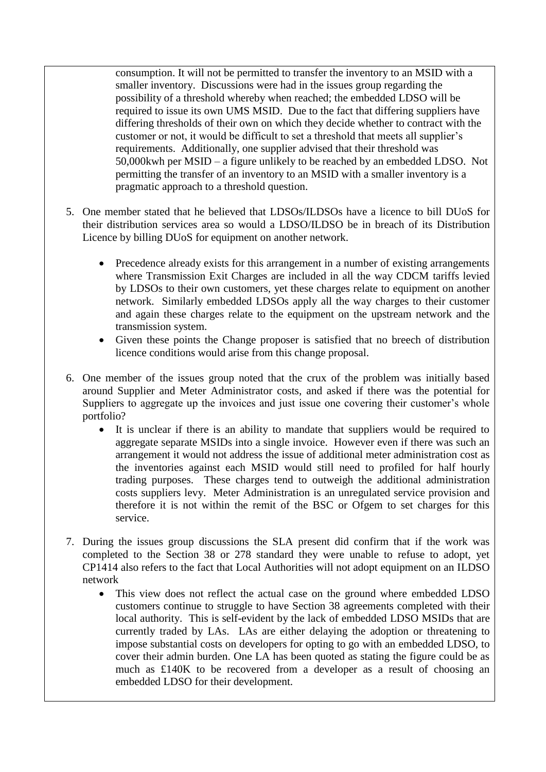consumption. It will not be permitted to transfer the inventory to an MSID with a smaller inventory. Discussions were had in the issues group regarding the possibility of a threshold whereby when reached; the embedded LDSO will be required to issue its own UMS MSID. Due to the fact that differing suppliers have differing thresholds of their own on which they decide whether to contract with the customer or not, it would be difficult to set a threshold that meets all supplier's requirements. Additionally, one supplier advised that their threshold was 50,000kwh per MSID – a figure unlikely to be reached by an embedded LDSO. Not permitting the transfer of an inventory to an MSID with a smaller inventory is a pragmatic approach to a threshold question.

- 5. One member stated that he believed that LDSOs/ILDSOs have a licence to bill DUoS for their distribution services area so would a LDSO/ILDSO be in breach of its Distribution Licence by billing DUoS for equipment on another network.
	- Precedence already exists for this arrangement in a number of existing arrangements where Transmission Exit Charges are included in all the way CDCM tariffs levied by LDSOs to their own customers, yet these charges relate to equipment on another network. Similarly embedded LDSOs apply all the way charges to their customer and again these charges relate to the equipment on the upstream network and the transmission system.
	- Given these points the Change proposer is satisfied that no breech of distribution licence conditions would arise from this change proposal.
- 6. One member of the issues group noted that the crux of the problem was initially based around Supplier and Meter Administrator costs, and asked if there was the potential for Suppliers to aggregate up the invoices and just issue one covering their customer's whole portfolio?
	- It is unclear if there is an ability to mandate that suppliers would be required to aggregate separate MSIDs into a single invoice. However even if there was such an arrangement it would not address the issue of additional meter administration cost as the inventories against each MSID would still need to profiled for half hourly trading purposes. These charges tend to outweigh the additional administration costs suppliers levy. Meter Administration is an unregulated service provision and therefore it is not within the remit of the BSC or Ofgem to set charges for this service.
- 7. During the issues group discussions the SLA present did confirm that if the work was completed to the Section 38 or 278 standard they were unable to refuse to adopt, yet CP1414 also refers to the fact that Local Authorities will not adopt equipment on an ILDSO network
	- This view does not reflect the actual case on the ground where embedded LDSO customers continue to struggle to have Section 38 agreements completed with their local authority. This is self-evident by the lack of embedded LDSO MSIDs that are currently traded by LAs. LAs are either delaying the adoption or threatening to impose substantial costs on developers for opting to go with an embedded LDSO, to cover their admin burden. One LA has been quoted as stating the figure could be as much as £140K to be recovered from a developer as a result of choosing an embedded LDSO for their development.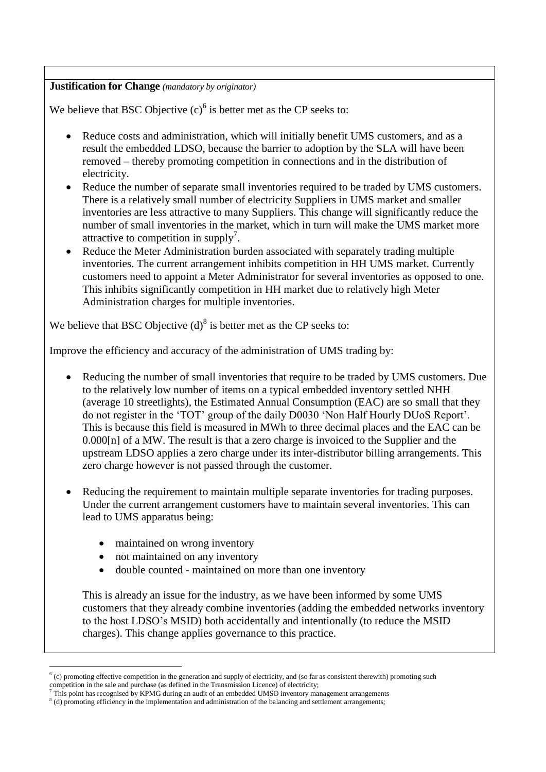### **Justification for Change** *(mandatory by originator)*

We believe that BSC Objective  $(c)^6$  is better met as the CP seeks to:

- Reduce costs and administration, which will initially benefit UMS customers, and as a result the embedded LDSO, because the barrier to adoption by the SLA will have been removed – thereby promoting competition in connections and in the distribution of electricity.
- Reduce the number of separate small inventories required to be traded by UMS customers. There is a relatively small number of electricity Suppliers in UMS market and smaller inventories are less attractive to many Suppliers. This change will significantly reduce the number of small inventories in the market, which in turn will make the UMS market more attractive to competition in supply<sup>7</sup>.
- Reduce the Meter Administration burden associated with separately trading multiple inventories. The current arrangement inhibits competition in HH UMS market. Currently customers need to appoint a Meter Administrator for several inventories as opposed to one. This inhibits significantly competition in HH market due to relatively high Meter Administration charges for multiple inventories.

We believe that BSC Objective  $(d)^8$  is better met as the CP seeks to:

Improve the efficiency and accuracy of the administration of UMS trading by:

- Reducing the number of small inventories that require to be traded by UMS customers. Due to the relatively low number of items on a typical embedded inventory settled NHH (average 10 streetlights), the Estimated Annual Consumption (EAC) are so small that they do not register in the 'TOT' group of the daily D0030 'Non Half Hourly DUoS Report'. This is because this field is measured in MWh to three decimal places and the EAC can be 0.000[n] of a MW. The result is that a zero charge is invoiced to the Supplier and the upstream LDSO applies a zero charge under its inter-distributor billing arrangements. This zero charge however is not passed through the customer.
- Reducing the requirement to maintain multiple separate inventories for trading purposes. Under the current arrangement customers have to maintain several inventories. This can lead to UMS apparatus being:
	- maintained on wrong inventory

<u>.</u>

- not maintained on any inventory
- double counted maintained on more than one inventory

This is already an issue for the industry, as we have been informed by some UMS customers that they already combine inventories (adding the embedded networks inventory to the host LDSO's MSID) both accidentally and intentionally (to reduce the MSID charges). This change applies governance to this practice.

 $<sup>6</sup>$  (c) promoting effective competition in the generation and supply of electricity, and (so far as consistent therewith) promoting such</sup> competition in the sale and purchase (as defined in the Transmission Licence) of electricity;<br>
<sup>7</sup> This point has suce and purchase (as defined in the Transmission Licence) of electricity;

<sup>7</sup> This point has recognised by KPMG during an audit of an embedded UMSO inventory management arrangements

<sup>&</sup>lt;sup>8</sup> (d) promoting efficiency in the implementation and administration of the balancing and settlement arrangements;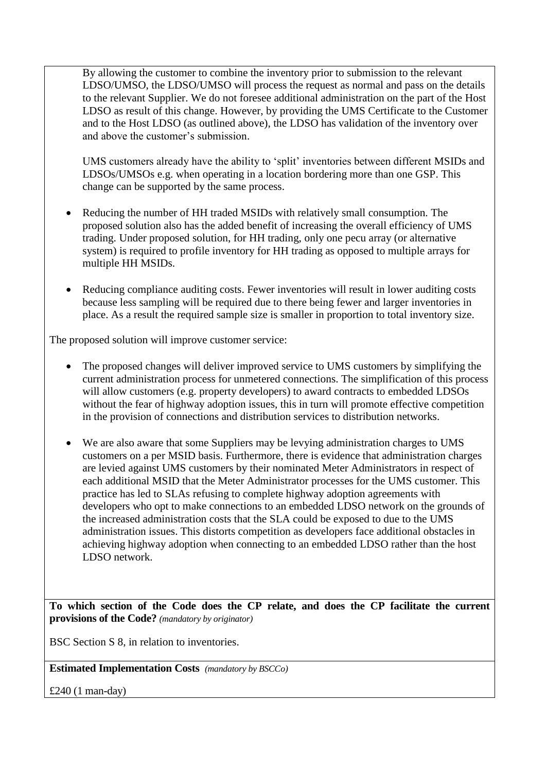By allowing the customer to combine the inventory prior to submission to the relevant LDSO/UMSO, the LDSO/UMSO will process the request as normal and pass on the details to the relevant Supplier. We do not foresee additional administration on the part of the Host LDSO as result of this change. However, by providing the UMS Certificate to the Customer and to the Host LDSO (as outlined above), the LDSO has validation of the inventory over and above the customer's submission.

UMS customers already have the ability to 'split' inventories between different MSIDs and LDSOs/UMSOs e.g. when operating in a location bordering more than one GSP. This change can be supported by the same process.

- Reducing the number of HH traded MSIDs with relatively small consumption. The proposed solution also has the added benefit of increasing the overall efficiency of UMS trading. Under proposed solution, for HH trading, only one pecu array (or alternative system) is required to profile inventory for HH trading as opposed to multiple arrays for multiple HH MSIDs.
- Reducing compliance auditing costs. Fewer inventories will result in lower auditing costs because less sampling will be required due to there being fewer and larger inventories in place. As a result the required sample size is smaller in proportion to total inventory size.

The proposed solution will improve customer service:

- The proposed changes will deliver improved service to UMS customers by simplifying the current administration process for unmetered connections. The simplification of this process will allow customers (e.g. property developers) to award contracts to embedded LDSOs without the fear of highway adoption issues, this in turn will promote effective competition in the provision of connections and distribution services to distribution networks.
- We are also aware that some Suppliers may be levying administration charges to UMS customers on a per MSID basis. Furthermore, there is evidence that administration charges are levied against UMS customers by their nominated Meter Administrators in respect of each additional MSID that the Meter Administrator processes for the UMS customer. This practice has led to SLAs refusing to complete highway adoption agreements with developers who opt to make connections to an embedded LDSO network on the grounds of the increased administration costs that the SLA could be exposed to due to the UMS administration issues. This distorts competition as developers face additional obstacles in achieving highway adoption when connecting to an embedded LDSO rather than the host LDSO network.

**To which section of the Code does the CP relate, and does the CP facilitate the current provisions of the Code?** *(mandatory by originator)*

BSC Section S 8, in relation to inventories.

**Estimated Implementation Costs** *(mandatory by BSCCo)*

£240 (1 man-day)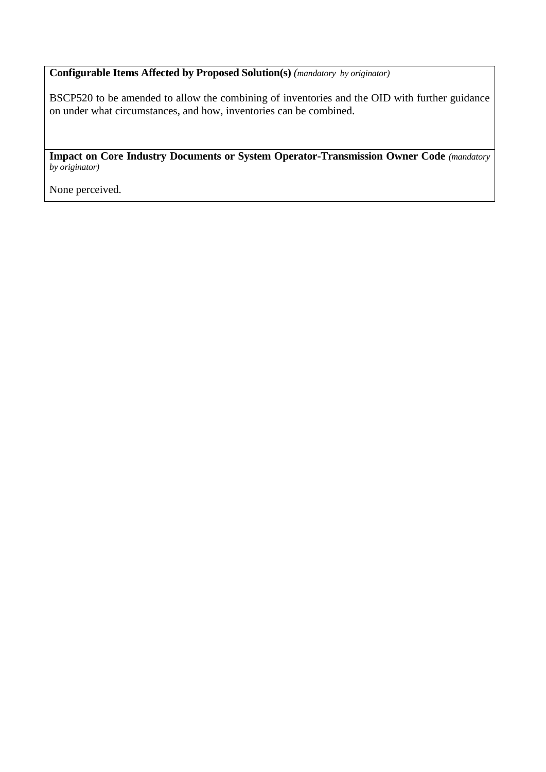**Configurable Items Affected by Proposed Solution(s)** *(mandatory by originator)*

BSCP520 to be amended to allow the combining of inventories and the OID with further guidance on under what circumstances, and how, inventories can be combined.

**Impact on Core Industry Documents or System Operator-Transmission Owner Code** *(mandatory by originator)*

None perceived.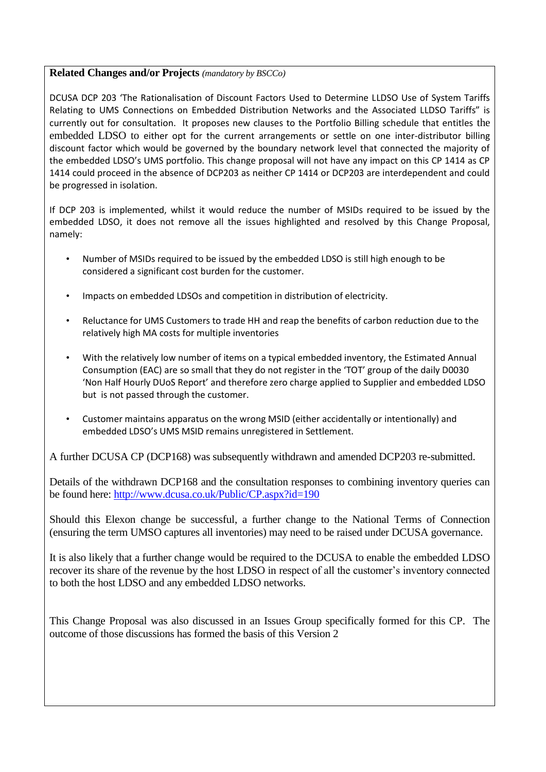#### **Related Changes and/or Projects** *(mandatory by BSCCo)*

DCUSA DCP 203 'The Rationalisation of Discount Factors Used to Determine LLDSO Use of System Tariffs Relating to UMS Connections on Embedded Distribution Networks and the Associated LLDSO Tariffs" is currently out for consultation. It proposes new clauses to the Portfolio Billing schedule that entitles the embedded LDSO to either opt for the current arrangements or settle on one inter-distributor billing discount factor which would be governed by the boundary network level that connected the majority of the embedded LDSO's UMS portfolio. This change proposal will not have any impact on this CP 1414 as CP 1414 could proceed in the absence of DCP203 as neither CP 1414 or DCP203 are interdependent and could be progressed in isolation.

If DCP 203 is implemented, whilst it would reduce the number of MSIDs required to be issued by the embedded LDSO, it does not remove all the issues highlighted and resolved by this Change Proposal, namely:

- Number of MSIDs required to be issued by the embedded LDSO is still high enough to be considered a significant cost burden for the customer.
- Impacts on embedded LDSOs and competition in distribution of electricity.
- Reluctance for UMS Customers to trade HH and reap the benefits of carbon reduction due to the relatively high MA costs for multiple inventories
- With the relatively low number of items on a typical embedded inventory, the Estimated Annual Consumption (EAC) are so small that they do not register in the 'TOT' group of the daily D0030 'Non Half Hourly DUoS Report' and therefore zero charge applied to Supplier and embedded LDSO but is not passed through the customer.
- Customer maintains apparatus on the wrong MSID (either accidentally or intentionally) and embedded LDSO's UMS MSID remains unregistered in Settlement.

A further DCUSA CP (DCP168) was subsequently withdrawn and amended DCP203 re-submitted.

Details of the withdrawn DCP168 and the consultation responses to combining inventory queries can be found here:<http://www.dcusa.co.uk/Public/CP.aspx?id=190>

Should this Elexon change be successful, a further change to the National Terms of Connection (ensuring the term UMSO captures all inventories) may need to be raised under DCUSA governance.

It is also likely that a further change would be required to the DCUSA to enable the embedded LDSO recover its share of the revenue by the host LDSO in respect of all the customer's inventory connected to both the host LDSO and any embedded LDSO networks.

This Change Proposal was also discussed in an Issues Group specifically formed for this CP. The outcome of those discussions has formed the basis of this Version 2